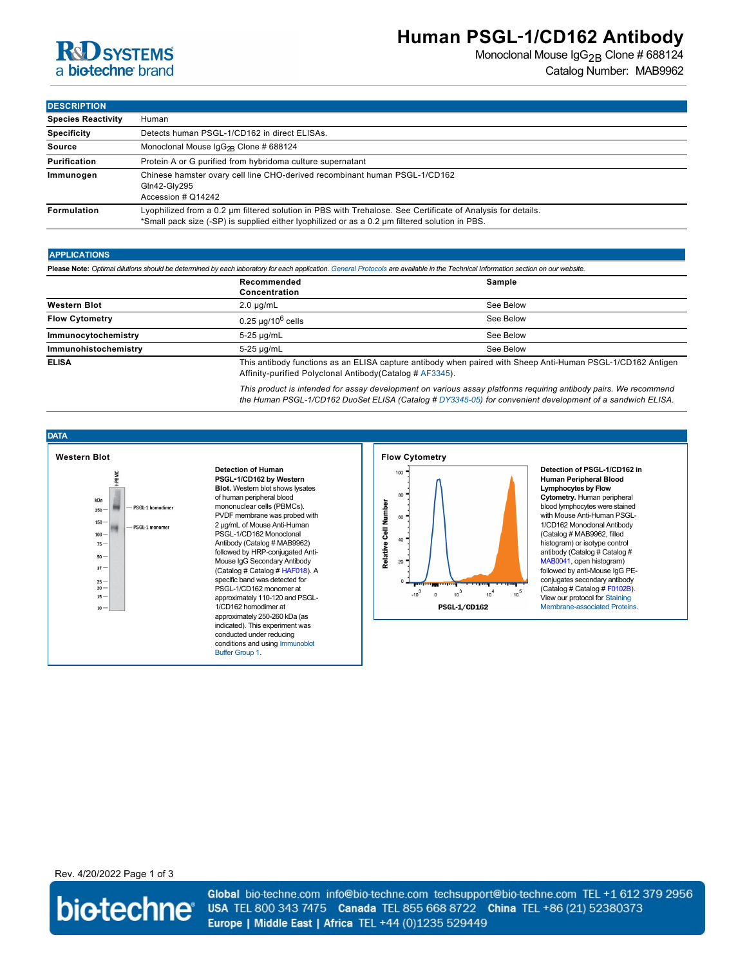## **R&D** SYSTEMS a biotechne brand

## **Human PSGL**‑**1/CD162 Antibody**

Monoclonal Mouse IgG<sub>2B</sub> Clone # 688124 Catalog Number: MAB9962

**DESCRIPTION** 

| <b>DEJUNIF HUN</b>        |                                                                                                                                                                                                               |  |
|---------------------------|---------------------------------------------------------------------------------------------------------------------------------------------------------------------------------------------------------------|--|
| <b>Species Reactivity</b> | Human                                                                                                                                                                                                         |  |
| <b>Specificity</b>        | Detects human PSGL-1/CD162 in direct ELISAs.                                                                                                                                                                  |  |
| <b>Source</b>             | Monoclonal Mouse $\lg G_{2R}$ Clone # 688124                                                                                                                                                                  |  |
| <b>Purification</b>       | Protein A or G purified from hybridoma culture supernatant                                                                                                                                                    |  |
| Immunogen                 | Chinese hamster ovary cell line CHO-derived recombinant human PSGL-1/CD162<br>Gln42-Gly295<br>Accession # Q14242                                                                                              |  |
| Formulation               | Lyophilized from a 0.2 µm filtered solution in PBS with Trehalose. See Certificate of Analysis for details.<br>*Small pack size (-SP) is supplied either lyophilized or as a 0.2 um filtered solution in PBS. |  |

#### **APPLICATIONS**

**Please Note:** *Optimal dilutions should be determined by each laboratory for each application. [General Protocols](http://www.rndsystems.com/resources/protocols-troubleshooting-guides) are available in the Technical Information section on our website.*

|                       | Recommended<br>Concentration                                                                                                                                                                                                                                                                                                                                                                                       | Sample    |
|-----------------------|--------------------------------------------------------------------------------------------------------------------------------------------------------------------------------------------------------------------------------------------------------------------------------------------------------------------------------------------------------------------------------------------------------------------|-----------|
| <b>Western Blot</b>   | $2.0 \mu q/mL$                                                                                                                                                                                                                                                                                                                                                                                                     | See Below |
| <b>Flow Cytometry</b> | $0.25 \mu q / 10^6$ cells                                                                                                                                                                                                                                                                                                                                                                                          | See Below |
| Immunocytochemistry   | 5-25 µg/mL                                                                                                                                                                                                                                                                                                                                                                                                         | See Below |
| Immunohistochemistry  | 5-25 µg/mL                                                                                                                                                                                                                                                                                                                                                                                                         | See Below |
| <b>ELISA</b>          | This antibody functions as an ELISA capture antibody when paired with Sheep Anti-Human PSGL-1/CD162 Antigen<br>A $\mathbf{f} \mathbf{f}$ and $\mathbf{f}$ and $\mathbf{f}$ and $\mathbf{f}$ are contracted as $\mathbf{f}$ and $\mathbf{f}$ and $\mathbf{f}$ and $\mathbf{f}$ and $\mathbf{f}$ and $\mathbf{f}$ and $\mathbf{f}$ and $\mathbf{f}$ and $\mathbf{f}$ and $\mathbf{f}$ and $\mathbf{f}$ and $\mathbf$ |           |

Affinity-purified Polyclonal Antibody(Catalog # [AF3345](http://www.rndsystems.com/product_results.aspx?k=AF3345)).

*This product is intended for assay development on various assay platforms requiring antibody pairs. We recommend the Human PSGL-1/CD162 DuoSet ELISA (Catalog # [DY3345-05\)](http://www.rndsystems.com/product_results.aspx?k=DY3345-05) for convenient development of a sandwich ELISA.*





**Detection of Human PSGL**‑**1/CD162 by Western Blot.** Western blot shows lysates of human peripheral blood mononuclear cells (PBMCs). PVDF membrane was probed with 2 µg/mL of Mouse Anti-Human PSGL-1/CD162 Monoclonal Antibody (Catalog # MAB9962) followed by HRP-conjugated Anti-Mouse IgG Secondary Antibody (Catalog # Catalog # [HAF018](https://www.rndsystems.com/search?keywords=HAF018)). A specific band was detected for PSGL-1/CD162 monomer at approximately 110-120 and PSGL-1/CD162 homodimer at approximately 250-260 kDa (as indicated). This experiment was conducted under reducing [conditions and using Immunoblot](http://www.rndsystems.com/go/westernblotconditions) Buffer Group 1.



**Detection of PSGL-1/CD162 in Human Peripheral Blood Lymphocytes by Flow Cytometry.** Human peripheral blood lymphocytes were stained with Mouse Anti-Human PSGL-1/CD162 Monoclonal Antibody (Catalog # MAB9962, filled histogram) or isotype control antibody (Catalog # Catalog # [MAB0041](https://www.rndsystems.com/search?keywords=MAB0041), open histogram) followed by anti-Mouse IgG PEconjugates secondary antibody (Catalog # Catalog # [F0102B\)](https://www.rndsystems.com/search?keywords=F0102B). View our protocol for Staining [Membrane-associated Proteins](http://www.rndsystems.com/literature_flow_cytometry_staining_membrane.aspx).

### Rev. 4/20/2022 Page 1 of 3

biotechne®

Global bio-techne.com info@bio-techne.com techsupport@bio-techne.com TEL +1 612 379 2956 USA TEL 800 343 7475 Canada TEL 855 668 8722 China TEL +86 (21) 52380373 Europe | Middle East | Africa TEL +44 (0)1235 529449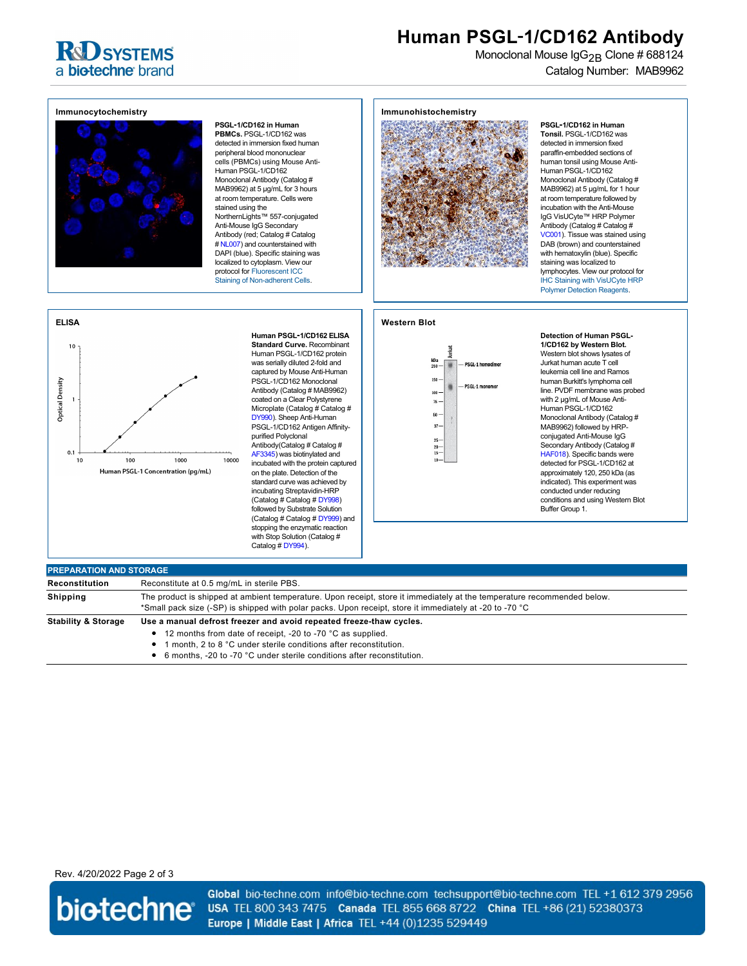## **R&D SYSTEMS** a biotechne brand

# **Human PSGL**‑**1/CD162 Antibody**

Monoclonal Mouse IgG<sub>2B</sub> Clone # 688124 Catalog Number: MAB9962



**PSGL**‑**1/CD162 in Human PBMCs.** PSGL-1/CD162 was detected in immersion fixed human peripheral blood mononuclear cells (PBMCs) using Mouse Anti-Human PSGL-1/CD162 Monoclonal Antibody (Catalog # MAB9962) at 5 µg/mL for 3 hours at room temperature. Cells were stained using the NorthernLights™ 557-conjugated Anti-Mouse IgG Secondary Antibody (red; Catalog # Catalog # [NL007](https://www.rndsystems.com/search?keywords=NL007)) and counterstained with DAPI (blue). Specific staining was localized to cytoplasm. View our protocol for Fluorescent ICC [Staining of Non-adherent Cells](http://www.rndsystems.com/ihc_detail_objectname_fluorescent_icc_non_adherent_cells.aspx).

#### **Immunohistochemistry**



**PSGL**‑**1/CD162 in Human Tonsil.** PSGL-1/CD162 was detected in immersion fixed paraffin-embedded sections of human tonsil using Mouse Anti-Human PSGL-1/CD162 Monoclonal Antibody (Catalog # MAB9962) at 5 µg/mL for 1 hour at room temperature followed by incubation with the Anti-Mouse IgG VisUCyte™ HRP Polymer Antibody (Catalog # Catalog # [VC001](https://www.rndsystems.com/search?keywords=VC001)). Tissue was stained using DAB (brown) and counterstained with hematoxylin (blue). Specific staining was localized to lymphocytes. View our protocol for [IHC Staining with VisUCyte HRP](https://www.rndsystems.com/resources/protocols/protocol-visucyte-hrp-polymer-detection-reagent) Polymer Detection Reagents.

#### **Human PSGL**‑**1/CD162 ELISA Standard Curve.** Recombinant Human PSGL-1/CD162 protein

**Western Blot**



**Detection of Human PSGL-1/CD162 by Western Blot.** Western blot shows lysates of Jurkat human acute T cell leukemia cell line and Ramos human Burkitt's lymphoma cell line. PVDF membrane was probed with 2 µg/mL of Mouse Anti-Human PSGL-1/CD162 Monoclonal Antibody (Catalog # MAB9962) followed by HRPconjugated Anti-Mouse IgG Secondary Antibody (Catalog # [HAF018](https://www.rndsystems.com/search?keywords=HAF018)). Specific bands were detected for PSGL-1/CD162 at approximately 120, 250 kDa (as indicated). This experiment was conducted under reducing conditions and using Western Blot Buffer Group 1.

### **ELISA**  $10$ was serially diluted 2-fold and captured by Mouse Anti-Human **Optical Density** PSGL-1/CD162 Monoclonal Antibody (Catalog # MAB9962)  $0.1$  $10$ 100 1000 10000 Human PSGL-1 Concentration (pg/mL)

coated on a Clear Polystyrene Microplate (Catalog # Catalog # [DY990\)](https://www.rndsystems.com/search?keywords=DY990). Sheep Anti-Human PSGL-1/CD162 Antigen Affinitypurified Polyclonal Antibody(Catalog # Catalog # [AF3345\)](https://www.rndsystems.com/search?keywords=AF3345) was biotinylated and incubated with the protein captured on the plate. Detection of the standard curve was achieved by incubating Streptavidin-HRP (Catalog # Catalog # [DY998](https://www.rndsystems.com/search?keywords=DY998)) followed by Substrate Solution (Catalog # Catalog # [DY999](https://www.rndsystems.com/search?keywords=DY999)) and stopping the enzymatic reaction with Stop Solution (Catalog # Catalog # [DY994\)](https://www.rndsystems.com/search?keywords=DY994).



 $\bullet$ 6 months, -20 to -70 °C under sterile conditions after reconstitution.

Rev. 4/20/2022 Page 2 of 3



Global bio-techne.com info@bio-techne.com techsupport@bio-techne.com TEL +1 612 379 2956 USA TEL 800 343 7475 Canada TEL 855 668 8722 China TEL +86 (21) 52380373 Europe | Middle East | Africa TEL +44 (0)1235 529449